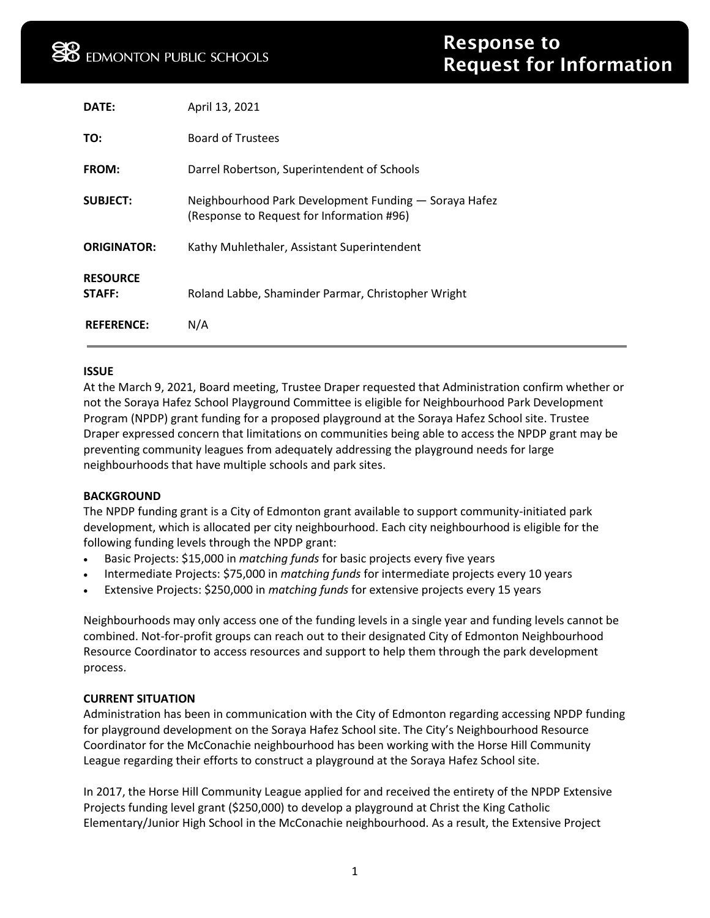| DATE:                     | April 13, 2021                                                                                     |
|---------------------------|----------------------------------------------------------------------------------------------------|
| TO:                       | <b>Board of Trustees</b>                                                                           |
| FROM:                     | Darrel Robertson, Superintendent of Schools                                                        |
| <b>SUBJECT:</b>           | Neighbourhood Park Development Funding - Soraya Hafez<br>(Response to Request for Information #96) |
| <b>ORIGINATOR:</b>        | Kathy Muhlethaler, Assistant Superintendent                                                        |
| <b>RESOURCE</b><br>STAFF: | Roland Labbe, Shaminder Parmar, Christopher Wright                                                 |
| <b>REFERENCE:</b>         | N/A                                                                                                |

#### **ISSUE**

At the March 9, 2021, Board meeting, Trustee Draper requested that Administration confirm whether or not the Soraya Hafez School Playground Committee is eligible for Neighbourhood Park Development Program (NPDP) grant funding for a proposed playground at the Soraya Hafez School site. Trustee Draper expressed concern that limitations on communities being able to access the NPDP grant may be preventing community leagues from adequately addressing the playground needs for large neighbourhoods that have multiple schools and park sites.

### **BACKGROUND**

The NPDP funding grant is a City of Edmonton grant available to support community-initiated park development, which is allocated per city neighbourhood. Each city neighbourhood is eligible for the following funding levels through the NPDP grant:

- Basic Projects: \$15,000 in *matching funds* for basic projects every five years
- Intermediate Projects: \$75,000 in *matching funds* for intermediate projects every 10 years
- Extensive Projects: \$250,000 in *matching funds* for extensive projects every 15 years

Neighbourhoods may only access one of the funding levels in a single year and funding levels cannot be combined. Not-for-profit groups can reach out to their designated City of Edmonton Neighbourhood Resource Coordinator to access resources and support to help them through the park development process.

### **CURRENT SITUATION**

Administration has been in communication with the City of Edmonton regarding accessing NPDP funding for playground development on the Soraya Hafez School site. The City's Neighbourhood Resource Coordinator for the McConachie neighbourhood has been working with the Horse Hill Community League regarding their efforts to construct a playground at the Soraya Hafez School site.

In 2017, the Horse Hill Community League applied for and received the entirety of the NPDP Extensive Projects funding level grant (\$250,000) to develop a playground at Christ the King Catholic Elementary/Junior High School in the McConachie neighbourhood. As a result, the Extensive Project